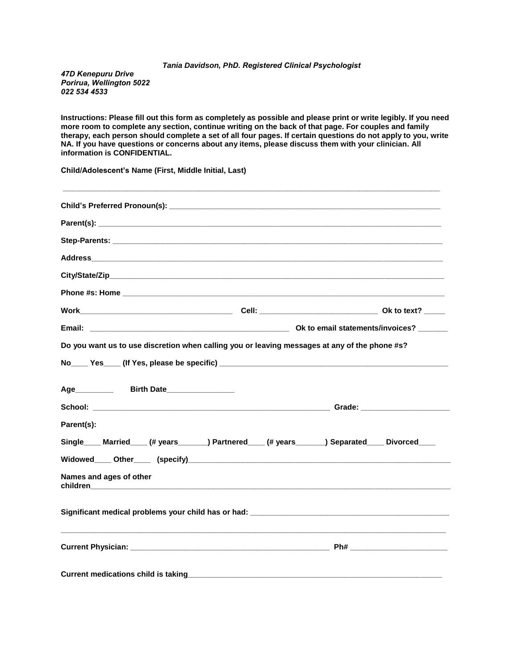## *Tania Davidson, PhD. Registered Clinical Psychologist*

*47D Kenepuru Drive Porirua, Wellington 5022 022 534 4533*

**Instructions: Please fill out this form as completely as possible and please print or write legibly. If you need more room to complete any section, continue writing on the back of that page. For couples and family therapy, each person should complete a set of all four pages. If certain questions do not apply to you, write NA. If you have questions or concerns about any items, please discuss them with your clinician. All information is CONFIDENTIAL.** 

**\_\_\_\_\_\_\_\_\_\_\_\_\_\_\_\_\_\_\_\_\_\_\_\_\_\_\_\_\_\_\_\_\_\_\_\_\_\_\_\_\_\_\_\_\_\_\_\_\_\_\_\_\_\_\_\_\_\_\_\_\_\_\_\_\_\_\_\_\_\_\_\_\_\_\_\_\_\_\_\_\_\_\_\_\_\_\_\_\_** 

**Child/Adolescent's Name (First, Middle Initial, Last)** 

| Parent(s):              |                                                                   |  |
|-------------------------|-------------------------------------------------------------------|--|
|                         | Single Married (# years ) Partnered (# years ) Separated Divorced |  |
|                         |                                                                   |  |
| Names and ages of other |                                                                   |  |
|                         |                                                                   |  |
|                         |                                                                   |  |
|                         |                                                                   |  |